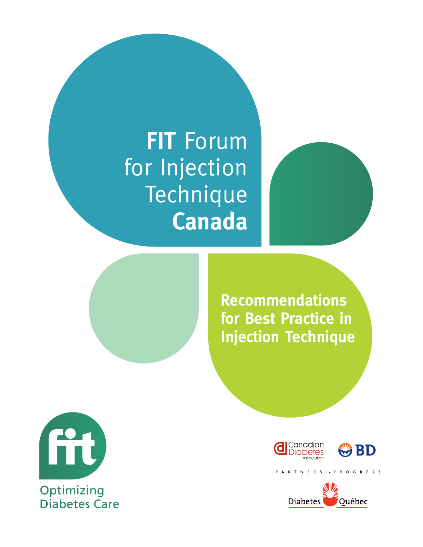# **FIT** Forum for Injection Technique **Canada**



**Recommendations for Best Practice in Injection Technique** 



**Optimizing** Diabetes Care





P A R T N E R S in P R O G R E S S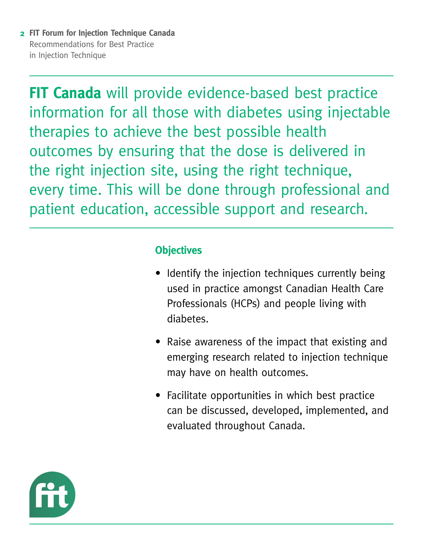**FIT Canada** will provide evidence-based best practice information for all those with diabetes using injectable therapies to achieve the best possible health outcomes by ensuring that the dose is delivered in the right injection site, using the right technique, every time. This will be done through professional and patient education, accessible support and research.

### **Objectives**

- Identify the injection techniques currently being used in practice amongst Canadian Health Care Professionals (HCPs) and people living with diabetes.
- Raise awareness of the impact that existing and emerging research related to injection technique may have on health outcomes.
- Facilitate opportunities in which best practice can be discussed, developed, implemented, and evaluated throughout Canada.

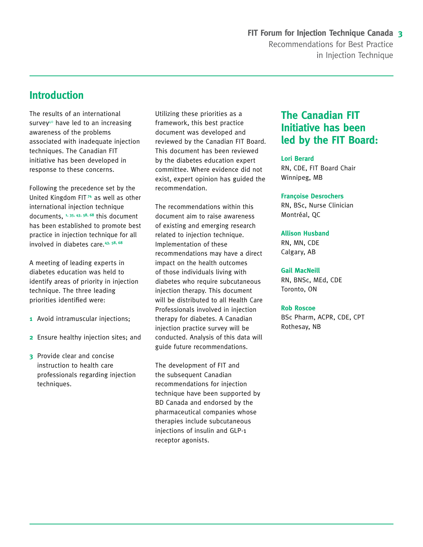### **Introduction**

The results of an international survey40 have led to an increasing awareness of the problems associated with inadequate injection techniques. The Canadian FIT initiative has been developed in response to these concerns.

Following the precedence set by the United Kingdom FIT **74** as well as other international injection technique documents, **1, 35, 43, 58, 68** this document has been established to promote best practice in injection technique for all involved in diabetes care.**43, 58, 68**

A meeting of leading experts in diabetes education was held to identify areas of priority in injection technique. The three leading priorities identified were:

- **1** Avoid intramuscular injections;
- **2** Ensure healthy injection sites; and
- **3** Provide clear and concise instruction to health care professionals regarding injection techniques.

Utilizing these priorities as a framework, this best practice document was developed and reviewed by the Canadian FIT Board. This document has been reviewed by the diabetes education expert committee. Where evidence did not exist, expert opinion has guided the recommendation.

The recommendations within this document aim to raise awareness of existing and emerging research related to injection technique. Implementation of these recommendations may have a direct impact on the health outcomes of those individuals living with diabetes who require subcutaneous injection therapy. This document will be distributed to all Health Care Professionals involved in injection therapy for diabetes. A Canadian injection practice survey will be conducted. Analysis of this data will guide future recommendations.

The development of FIT and the subsequent Canadian recommendations for injection technique have been supported by BD Canada and endorsed by the pharmaceutical companies whose therapies include subcutaneous injections of insulin and GLP-1 receptor agonists.

### **The Canadian FIT Initiative has been led by the FIT Board:**

#### **Lori Berard**

RN, CDE, FIT Board Chair Winnipeg, MB

#### **Françoise Desrochers**

RN, BSc, Nurse Clinician Montréal, QC

#### **Allison Husband**

RN, MN, CDE Calgary, AB

#### **Gail MacNeill**

RN, BNSc, MEd, CDE Toronto, ON

#### **Rob Roscoe**

BSc Pharm, ACPR, CDE, CPT Rothesay, NB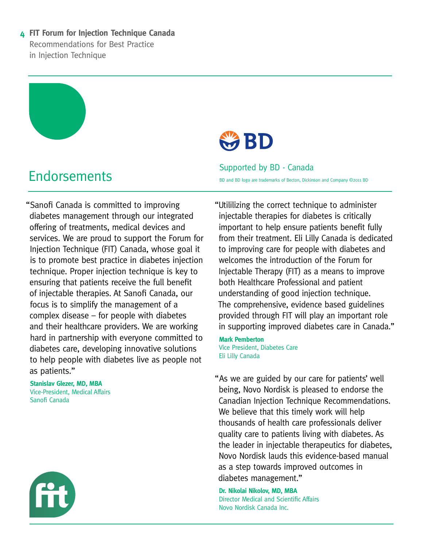"Sanofi Canada is committed to improving diabetes management through our integrated offering of treatments, medical devices and services. We are proud to support the Forum for Injection Technique (FIT) Canada, whose goal it is to promote best practice in diabetes injection technique. Proper injection technique is key to ensuring that patients receive the full benefit of injectable therapies. At Sanofi Canada, our focus is to simplify the management of a complex disease – for people with diabetes and their healthcare providers. We are working hard in partnership with everyone committed to diabetes care, developing innovative solutions to help people with diabetes live as people not as patients."

**Stanislav Glezer, MD, MBA** Vice-President, Medical Affairs Sanofi Canada





Endorsements Supported by BD - Canada<br>
Supported by BD - Canada BD and BD logo are trademarks of Becton, Dickinson and Company ©2011 BD

> "Utililizing the correct technique to administer injectable therapies for diabetes is critically important to help ensure patients benefit fully from their treatment. Eli Lilly Canada is dedicated to improving care for people with diabetes and welcomes the introduction of the Forum for Injectable Therapy (FIT) as a means to improve both Healthcare Professional and patient understanding of good injection technique. The comprehensive, evidence based guidelines provided through FIT will play an important role in supporting improved diabetes care in Canada."

**Mark Pemberton** Vice President, Diabetes Care Eli Lilly Canada

"As we are guided by our care for patients' well being, Novo Nordisk is pleased to endorse the Canadian Injection Technique Recommendations. We believe that this timely work will help thousands of health care professionals deliver quality care to patients living with diabetes. As the leader in injectable therapeutics for diabetes, Novo Nordisk lauds this evidence-based manual as a step towards improved outcomes in diabetes management."

**Dr. Nikolai Nikolov, MD, MBA** Director Medical and Scientific Affairs Novo Nordisk Canada Inc.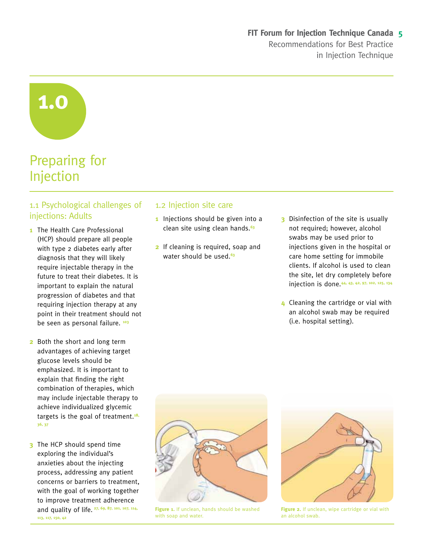**1.0**

## Preparing for Injection

#### 1.1 Psychological challenges of injections: Adults

- **1** The Health Care Professional (HCP) should prepare all people with type 2 diabetes early after diagnosis that they will likely require injectable therapy in the future to treat their diabetes. It is important to explain the natural progression of diabetes and that requiring injection therapy at any point in their treatment should not be seen as personal failure. **<sup>103</sup>**
- **2** Both the short and long term advantages of achieving target glucose levels should be emphasized. It is important to explain that finding the right combination of therapies, which may include injectable therapy to achieve individualized glycemic targets is the goal of treatment.**18, 36, 37**
- **3** The HCP should spend time exploring the individual's anxieties about the injecting process, addressing any patient concerns or barriers to treatment, with the goal of working together to improve treatment adherence and quality of life. **27, 69, 87, 101, 107, 114, 113, 117, 150, 42**

#### 1.2 Injection site care

- **1** Injections should be given into a clean site using clean hands.**<sup>63</sup>**
- **2** If cleaning is required, soap and water should be used.**<sup>63</sup>**
- **3** Disinfection of the site is usually not required; however, alcohol swabs may be used prior to injections given in the hospital or care home setting for immobile clients. If alcohol is used to clean the site, let dry completely before injection is done.**44, 43, 42, 97, 102, 125, 134**
- **4** Cleaning the cartridge or vial with an alcohol swab may be required (i.e. hospital setting).



**Figure 1.** If unclean, hands should be washed with soap and water.



**Figure 2.** If unclean, wipe cartridge or vial with an alcohol swab.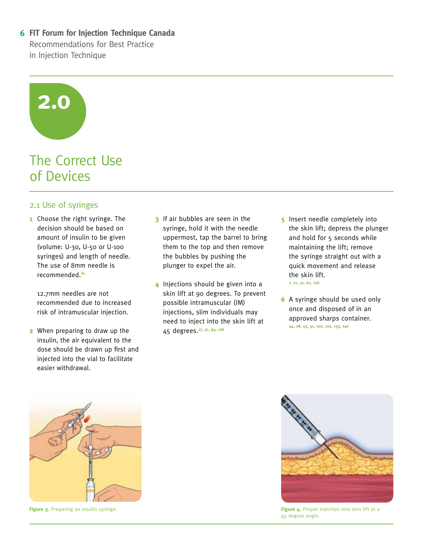# **2.0**

### The Correct Use of Devices

#### 2.1 Use of syringes

**1** Choose the right syringe. The decision should be based on amount of insulin to be given (volume: U-30, U-50 or U-100 syringes) and length of needle. The use of 8mm needle is recommended.**<sup>61</sup>**

12.7mm needles are not recommended due to increased risk of intramuscular injection.

**2** When preparing to draw up the insulin, the air equivalent to the dose should be drawn up first and injected into the vial to facilitate easier withdrawal.

- **3** If air bubbles are seen in the syringe, hold it with the needle uppermost, tap the barrel to bring them to the top and then remove the bubbles by pushing the plunger to expel the air.
- **4** Injections should be given into a skin lift at 90 degrees. To prevent possible intramuscular (IM) injections, slim individuals may need to inject into the skin lift at 45 degrees.**17, 51, 94, 126**
- **5** Insert needle completely into the skin lift; depress the plunger and hold for 5 seconds while maintaining the lift; remove the syringe straight out with a quick movement and release the skin lift. **7, 21, 51, 62, 126**
- **6** A syringe should be used only once and disposed of in an approved sharps container. **44, 28, 43, 41, 100, 125, 133, 140**



**Figure 3.** Preparing an insulin syringe.



**Figure 4.** Proper injection into skin lift at a 45 degree angle.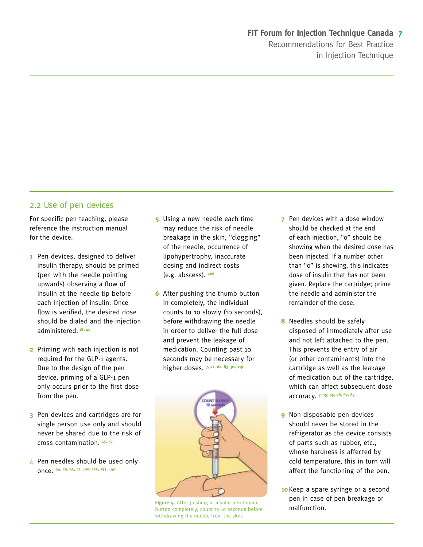#### 2.2 Use of pen devices

For specific pen teaching, please reference the instruction manual for the device.

- **1** Pen devices, designed to deliver insulin therapy, should be primed (pen with the needle pointing upwards) observing a flow of insulin at the needle tip before each injection of insulin. Once flow is verified, the desired dose should be dialed and the injection administered. **18, 40**
- **2** Priming with each injection is not required for the GLP-1 agents. Due to the design of the pen device, priming of a GLP-1 pen only occurs prior to the first dose from the pen.
- **3** Pen devices and cartridges are for single person use only and should never be shared due to the risk of cross contamination. **15, 97**
- 4 Pen needles should be used only once. **44, 29, 43, 41, 100, 125, 133, 140**
- **5** Using a new needle each time may reduce the risk of needle breakage in the skin, "clogging" of the needle, occurrence of lipohypertrophy, inaccurate dosing and indirect costs (e.g. abscess). **<sup>140</sup>**
- **6** After pushing the thumb button in completely, the individual counts to 10 slowly (10 seconds), before withdrawing the needle in order to deliver the full dose and prevent the leakage of medication. Counting past 10 seconds may be necessary for higher doses. **7, 21, 62, 83, 91, 119**



Figure 5. After pushing in insulin pen thumb **Figure 5.** After pushing in insulin pen thumb<br>button completely, count to 10 seconds before **malfunction.** withdrawing the needle from the skin.

- **7** Pen devices with a dose window should be checked at the end of each injection, "0" should be showing when the desired dose has been injected. If a number other than "0" is showing, this indicates dose of insulin that has not been given. Replace the cartridge; prime the needle and administer the remainder of the dose.
- **8** Needles should be safely disposed of immediately after use and not left attached to the pen. This prevents the entry of air (or other contaminants) into the cartridge as well as the leakage of medication out of the cartridge, which can affect subsequent dose accuracy. **7, 15, 45, 28, 62, 83**
- **9** Non disposable pen devices should never be stored in the refrigerator as the device consists of parts such as rubber, etc., whose hardness is affected by cold temperature, this in turn will affect the functioning of the pen.
- **10** Keep a spare syringe or a second pen in case of pen breakage or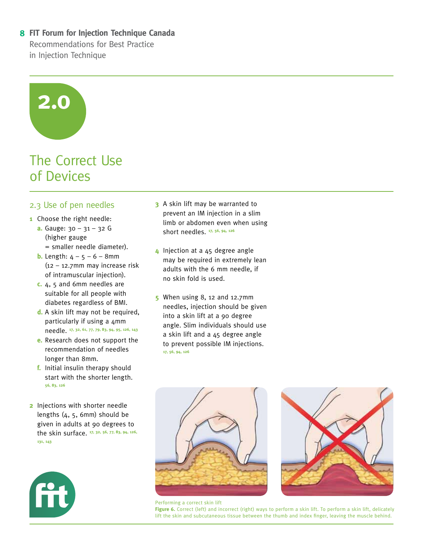# **2.0**

### The Correct Use of Devices

#### 2.3 Use of pen needles

- **1** Choose the right needle:
	- **a.** Gauge: 30 31 32 G (higher gauge = smaller needle diameter).
	- **b.** Length:  $4 5 6 8$ mm (12 – 12.7mm may increase risk of intramuscular injection).
	- **c.** 4, 5 and 6mm needles are suitable for all people with diabetes regardless of BMI.
	- **d.** A skin lift may not be required, particularly if using a 4mm needle. **17, 32, 61, 77, 79, 83, 94, 95, 126, 143**
	- **e.** Research does not support the recommendation of needles longer than 8mm.
	- **f.** Initial insulin therapy should start with the shorter length. **56, 83, 126**
- **2** Injections with shorter needle lengths (4, 5, 6mm) should be given in adults at 90 degrees to the skin surface. **17, 32, 56, 77, 83, 94, 126, 131, 143**



- **3** A skin lift may be warranted to prevent an IM injection in a slim limb or abdomen even when using short needles. **17, 56, 94, 126**
- **4** Injection at a 45 degree angle may be required in extremely lean adults with the 6 mm needle, if no skin fold is used.
- **5** When using 8, 12 and 12.7mm needles, injection should be given into a skin lift at a 90 degree angle. Slim individuals should use a skin lift and a 45 degree angle to prevent possible IM injections. **17, 56, 94, 126**





Performing a correct skin lift

**Figure 6.** Correct (left) and incorrect (right) ways to perform a skin lift. To perform a skin lift, delicately lift the skin and subcutaneous tissue between the thumb and index finger, leaving the muscle behind.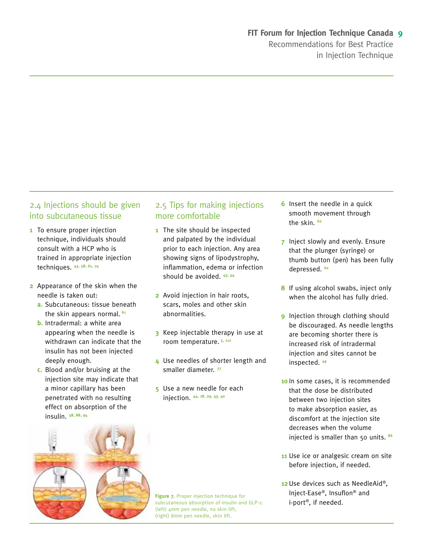#### 2.4 Injections should be given into subcutaneous tissue

- **1** To ensure proper injection technique, individuals should consult with a HCP who is trained in appropriate injection techniques. **43, 58, 61, 74**
- **2** Appearance of the skin when the needle is taken out:
	- **a.** Subcutaneous: tissue beneath the skin appears normal.**<sup>61</sup>**
	- **b.** Intradermal: a white area appearing when the needle is withdrawn can indicate that the insulin has not been injected deeply enough.
	- **c.** Blood and/or bruising at the injection site may indicate that a minor capillary has been penetrated with no resulting effect on absorption of the insulin. **58, 88, 94**



#### 2.5 Tips for making injections more comfortable

- **1** The site should be inspected and palpated by the individual prior to each injection. Any area showing signs of lipodystrophy, inflammation, edema or infection should be avoided. **43, 44**
- **2** Avoid injection in hair roots, scars, moles and other skin abnormalities.
- **3** Keep injectable therapy in use at room temperature. **5, 112**
- **4** Use needles of shorter length and smaller diameter. **<sup>77</sup>**
- **5** Use a new needle for each injection. **44, 18, 29, 43, 40**

**6** Insert the needle in a quick smooth movement through the skin. **<sup>62</sup>**

- **7** Inject slowly and evenly. Ensure that the plunger (syringe) or thumb button (pen) has been fully depressed. **<sup>62</sup>**
- **8** If using alcohol swabs, inject only when the alcohol has fully dried.
- **9** Injection through clothing should be discouraged. As needle lengths are becoming shorter there is increased risk of intradermal injection and sites cannot be inspected. **<sup>49</sup>**
- **10** In some cases, it is recommended that the dose be distributed between two injection sites to make absorption easier, as discomfort at the injection site decreases when the volume injected is smaller than 50 units. **<sup>86</sup>**
- **11** Use ice or analgesic cream on site before injection, if needed.
- **12** Use devices such as NeedleAid®, Inject-Ease®, Insuflon® and i-port®, if needed.

**Figure 7.** Proper injection technique for subcutaneous absorption of insulin and GLP-1: (left) 4mm pen needle, no skin lift, (right) 8mm pen needle, skin lift.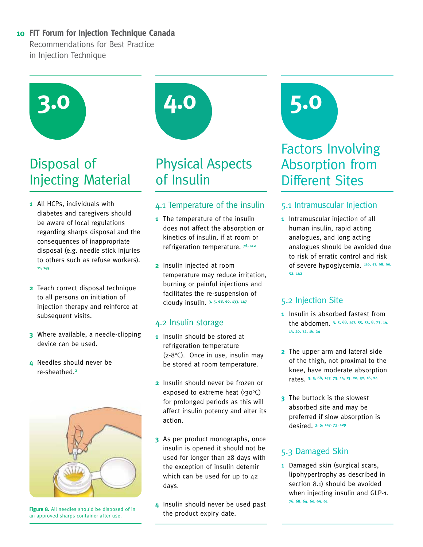

## Disposal of Injecting Material

- **1** All HCPs, individuals with diabetes and caregivers should be aware of local regulations regarding sharps disposal and the consequences of inappropriate disposal (e.g. needle stick injuries to others such as refuse workers). **11, 149**
- **2** Teach correct disposal technique to all persons on initiation of injection therapy and reinforce at subsequent visits.
- **3** Where available, a needle-clipping device can be used.
- **4** Needles should never be re-sheathed.**<sup>2</sup>**



**Figure 8.** All needles should be disposed of in an approved sharps container after use.



# Physical Aspects of Insulin

#### 4.1 Temperature of the insulin

- **1** The temperature of the insulin does not affect the absorption or kinetics of insulin, if at room or refrigeration temperature. **76, 112**
- **2** Insulin injected at room temperature may reduce irritation, burning or painful injections and facilitates the re-suspension of cloudy insulin. **3, 5, 68, 60, 133, 147**

#### 4.2 Insulin storage

- **1** Insulin should be stored at refrigeration temperature  $(2-8°C)$ . Once in use, insulin may be stored at room temperature.
- **2** Insulin should never be frozen or exposed to extreme heat  $(230^{\circ}C)$ for prolonged periods as this will affect insulin potency and alter its action.
- **3** As per product monographs, once insulin is opened it should not be used for longer than 28 days with the exception of insulin detemir which can be used for up to 42 days.
- **4** Insulin should never be used past the product expiry date.

# Factors Involving Absorption from Different Sites **5.0**

#### 5.1 Intramuscular Injection

**1** Intramuscular injection of all human insulin, rapid acting analogues, and long acting analogues should be avoided due to risk of erratic control and risk of severe hypoglycemia. **116, 57, 98, 90, 52, 142**

#### 5.2 Injection Site

- **1** Insulin is absorbed fastest from the abdomen. **3, 5, 68, 147, 55, 53, 8, 73, 14, 13, 20, 32, 16, 24**
- **2** The upper arm and lateral side of the thigh, not proximal to the knee, have moderate absorption rates. **3, 5, 68, 147, 73, 14, 13, 20, 32, 16, 24**
- **3** The buttock is the slowest absorbed site and may be preferred if slow absorption is desired. **3, 5, 147, 73, 129**

#### 5.3 Damaged Skin

**1** Damaged skin (surgical scars, lipohypertrophy as described in section 8.1) should be avoided when injecting insulin and GLP-1. **76, 68, 64, 60, 99, 91**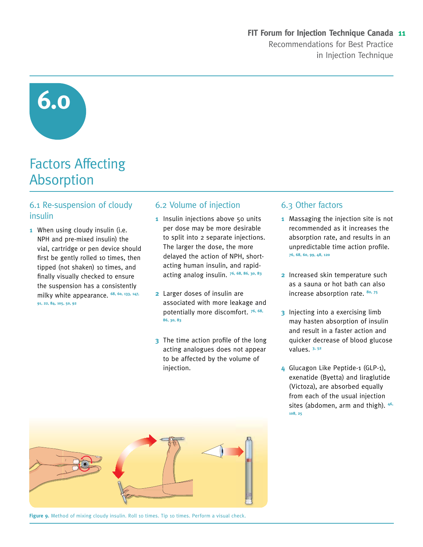**6.0**

## Factors Affecting Absorption

#### 6.1 Re-suspension of cloudy insulin

**1** When using cloudy insulin (i.e. NPH and pre-mixed insulin) the vial, cartridge or pen device should first be gently rolled 10 times, then tipped (not shaken) 10 times, and finally visually checked to ensure the suspension has a consistently milky white appearance. **68, 60, 133, 147, 91, 22, 84, 105, 50, 92**

#### 6.2 Volume of injection

- **1** Insulin injections above 50 units per dose may be more desirable to split into 2 separate injections. The larger the dose, the more delayed the action of NPH, shortacting human insulin, and rapidacting analog insulin. **76, 68, 86, 30, 83**
- **2** Larger doses of insulin are associated with more leakage and potentially more discomfort. **76, 68, 86, 30, 83**
- **3** The time action profile of the long acting analogues does not appear to be affected by the volume of injection.

#### 6.3 Other factors

- **1** Massaging the injection site is not recommended as it increases the absorption rate, and results in an unpredictable time action profile. **76, 68, 60, 99, 48, 120**
- **2** Increased skin temperature such as a sauna or hot bath can also increase absorption rate. **80, 75**
- **3** Injecting into a exercising limb may hasten absorption of insulin and result in a faster action and quicker decrease of blood glucose values. **3, 52**
- **4** Glucagon Like Peptide-1 (GLP-1), exenatide (Byetta) and liraglutide (Victoza), are absorbed equally from each of the usual injection sites (abdomen, arm and thigh). **46, 108, 25**



Figure 9. Method of mixing cloudy insulin. Roll 10 times. Tip 10 times. Perform a visual check.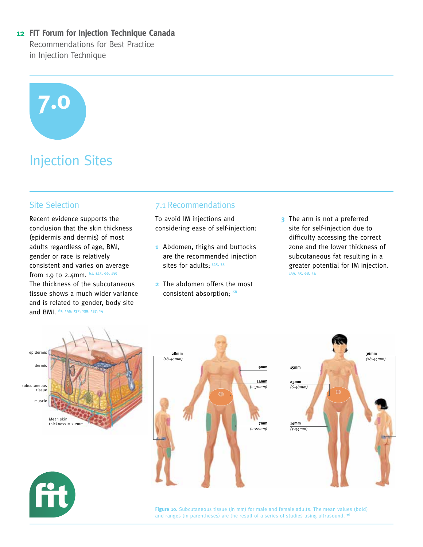# **7.0**

# Injection Sites

#### Site Selection

Recent evidence supports the conclusion that the skin thickness (epidermis and dermis) of most adults regardless of age, BMI, gender or race is relatively consistent and varies on average from 1.9 to 2.4mm. **61, 145, 96, 135**  The thickness of the subcutaneous tissue shows a much wider variance and is related to gender, body site and BMI. **61, 145, 132, 139, 137, 14**

#### 7.1 Recommendations

To avoid IM injections and considering ease of self-injection:

- **1** Abdomen, thighs and buttocks are the recommended injection sites for adults; 145, 35
- **2** The abdomen offers the most consistent absorption; **<sup>68</sup>**
- **3** The arm is not a preferred site for self-injection due to difficulty accessing the correct zone and the lower thickness of subcutaneous fat resulting in a greater potential for IM injection. **139, 35, 68, 54**







**Figure 10.** Subcutaneous tissue (in mm) for male and female adults. The mean values (bold) and ranges (in parentheses) are the result of a series of studies using ultrasound. **<sup>36</sup>**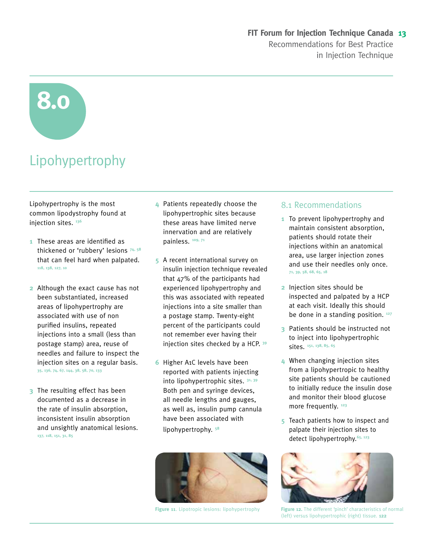# **8.0**

# Lipohypertrophy

Lipohypertrophy is the most common lipodystrophy found at injection sites. **<sup>136</sup>**

- **1** These areas are identified as thickened or 'rubbery' lesions **74, 58** that can feel hard when palpated. **118, 138, 127, 10**
- **2** Although the exact cause has not been substantiated, increased areas of lipohypertrophy are associated with use of non purified insulins, repeated injections into a small (less than postage stamp) area, reuse of needles and failure to inspect the injection sites on a regular basis. **35, 136, 74, 67, 144, 38, 58, 70, 133**
- **3** The resulting effect has been documented as a decrease in the rate of insulin absorption, inconsistent insulin absorption and unsightly anatomical lesions. **137, 118, 151, 31, 85**
- **4** Patients repeatedly choose the lipohypertrophic sites because these areas have limited nerve innervation and are relatively painless. **109, 71**
- **5** A recent international survey on insulin injection technique revealed that 47% of the participants had experienced lipohypertrophy and this was associated with repeated injections into a site smaller than a postage stamp. Twenty-eight percent of the participants could not remember ever having their injection sites checked by a HCP. **<sup>39</sup>**
- **6** Higher A1C levels have been reported with patients injecting into lipohypertrophic sites. **31, 39** Both pen and syringe devices, all needle lengths and gauges, as well as, insulin pump cannula have been associated with lipohypertrophy. **<sup>58</sup>**



#### 8.1 Recommendations

- **1** To prevent lipohypertrophy and maintain consistent absorption, patients should rotate their injections within an anatomical area, use larger injection zones and use their needles only once. **71, 39, 58, 68, 65, 18**
- **2** Injection sites should be inspected and palpated by a HCP at each visit. Ideally this should be done in a standing position. **<sup>127</sup>**
- **3** Patients should be instructed not to inject into lipohypertrophic sites. **151, 138, 85, 65**
- **4** When changing injection sites from a lipohypertropic to healthy site patients should be cautioned to initially reduce the insulin dose and monitor their blood glucose more frequently. **<sup>123</sup>**
- **5** Teach patients how to inspect and palpate their injection sites to detect lipohypertrophy.**65, 123**



**Figure 11.** Lipotropic lesions: lipohypertrophy **Figure 12.** The different 'pinch' characteristics of normal (left) versus lipohypertrophic (right) tissue. **122**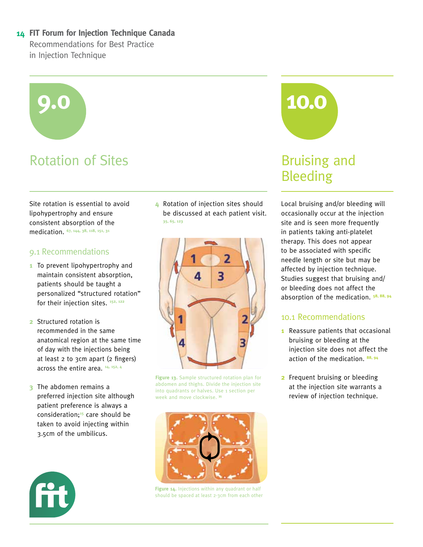# **9.0 10.0**

# Rotation of Sites **Bruising and**

Site rotation is essential to avoid lipohypertrophy and ensure consistent absorption of the medication. **67, 144, 38, 118, 151, 31**

#### 9.1 Recommendations

- **1** To prevent lipohypertrophy and maintain consistent absorption, patients should be taught a personalized "structured rotation" for their injection sites. **152, 122**
- **2** Structured rotation is recommended in the same anatomical region at the same time of day with the injections being at least 2 to 3cm apart (2 fingers) across the entire area. **14, 152, 4**
- **3** The abdomen remains a preferred injection site although patient preference is always a consideration;**15** care should be taken to avoid injecting within 3.5cm of the umbilicus.

**4** Rotation of injection sites should be discussed at each patient visit. **35, 65, 123**



**Figure 13.** Sample structured rotation plan for abdomen and thighs. Divide the injection site into quadrants or halves. Use 1 section per week and move clockwise. **35**



**Figure 14.** Injections within any quadrant or half should be spaced at least 2-3cm from each other



# Bleeding

Local bruising and/or bleeding will occasionally occur at the injection site and is seen more frequently in patients taking anti-platelet therapy. This does not appear to be associated with specific needle length or site but may be affected by injection technique. Studies suggest that bruising and/ or bleeding does not affect the absorption of the medication. **58, 88, 94**

#### 10.1 Recommendations

- **1** Reassure patients that occasional bruising or bleeding at the injection site does not affect the action of the medication. **88, 94**
- **2** Frequent bruising or bleeding at the injection site warrants a review of injection technique.

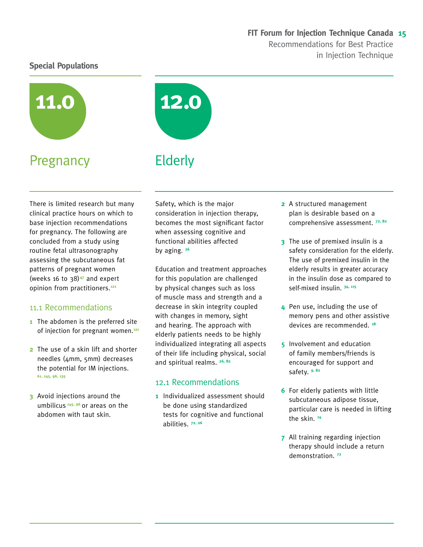#### **Special Populations**



## Pregnancy



There is limited research but many clinical practice hours on which to base injection recommendations for pregnancy. The following are concluded from a study using routine fetal ultrasonography assessing the subcutaneous fat patterns of pregnant women (weeks 16 to 38)**47** and expert opinion from practitioners.**<sup>121</sup>**

#### 11.1 Recommendations

- **1** The abdomen is the preferred site of injection for pregnant women.**<sup>121</sup>**
- **2** The use of a skin lift and shorter needles (4mm, 5mm) decreases the potential for IM injections. **61, 145, 96, 135**
- **3** Avoid injections around the umbilicus **145, 96** or areas on the abdomen with taut skin.

Safety, which is the major consideration in injection therapy, becomes the most significant factor when assessing cognitive and functional abilities affected by aging. **<sup>26</sup>**

Education and treatment approaches for this population are challenged by physical changes such as loss of muscle mass and strength and a decrease in skin integrity coupled with changes in memory, sight and hearing. The approach with elderly patients needs to be highly individualized integrating all aspects of their life including physical, social and spiritual realms. **26, 82**

#### 12.1 Recommendations

**1** Individualized assessment should be done using standardized tests for cognitive and functional abilities. **72, 26**

- **2** A structured management plan is desirable based on a comprehensive assessment. **72, 82**
- **3** The use of premixed insulin is a safety consideration for the elderly. The use of premixed insulin in the elderly results in greater accuracy in the insulin dose as compared to self-mixed insulin. **34, 115**
- **4** Pen use, including the use of memory pens and other assistive devices are recommended. **<sup>18</sup>**
- **5** Involvement and education of family members/friends is encouraged for support and safety. **9, 82**
- **6** For elderly patients with little subcutaneous adipose tissue, particular care is needed in lifting the skin. **<sup>14</sup>**
- **7** All training regarding injection therapy should include a return demonstration. **<sup>72</sup>**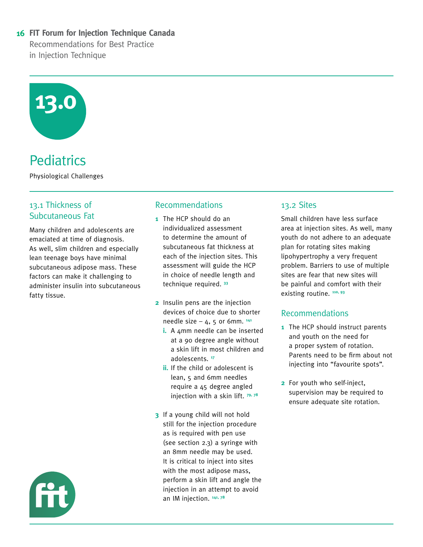

# **Pediatrics**

Physiological Challenges

#### 13.1 Thickness of Subcutaneous Fat

Many children and adolescents are emaciated at time of diagnosis. As well, slim children and especially lean teenage boys have minimal subcutaneous adipose mass. These factors can make it challenging to administer insulin into subcutaneous fatty tissue.

#### Recommendations

- **1** The HCP should do an individualized assessment to determine the amount of subcutaneous fat thickness at each of the injection sites. This assessment will guide the HCP in choice of needle length and technique required. **<sup>33</sup>**
- **2** Insulin pens are the injection devices of choice due to shorter needle size  $-4$ , 5 or 6mm.  $141$ 
	- **i.** A 4mm needle can be inserted at a 90 degree angle without a skin lift in most children and adolescents. **<sup>17</sup>**
	- **ii.** If the child or adolescent is lean, 5 and 6mm needles require a 45 degree angled injection with a skin lift. **79, 78**
- **3** If a young child will not hold still for the injection procedure as is required with pen use (see section 2.3) a syringe with an 8mm needle may be used. It is critical to inject into sites with the most adipose mass, perform a skin lift and angle the injection in an attempt to avoid an IM injection. **141, 78**

#### 13.2 Sites

Small children have less surface area at injection sites. As well, many youth do not adhere to an adequate plan for rotating sites making lipohypertrophy a very frequent problem. Barriers to use of multiple sites are fear that new sites will be painful and comfort with their existing routine. **110, 93**

#### Recommendations

- **1** The HCP should instruct parents and youth on the need for a proper system of rotation. Parents need to be firm about not injecting into "favourite spots".
- **2** For youth who self-inject, supervision may be required to ensure adequate site rotation.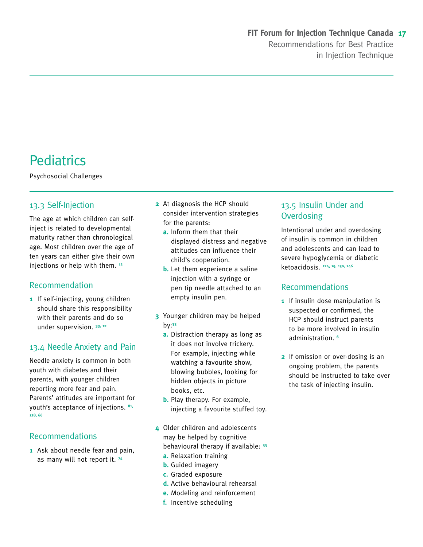# **Pediatrics**

Psychosocial Challenges

#### 13.3 Self-Injection

The age at which children can selfinject is related to developmental maturity rather than chronological age. Most children over the age of ten years can either give their own injections or help with them. **<sup>12</sup>**

#### Recommendation

**1** If self-injecting, young children should share this responsibility with their parents and do so under supervision. **33, 12**

#### 13.4 Needle Anxiety and Pain

Needle anxiety is common in both youth with diabetes and their parents, with younger children reporting more fear and pain. Parents' attitudes are important for youth's acceptance of injections. **81, 128, 66**

#### **Recommendations**

**1** Ask about needle fear and pain, as many will not report it. **<sup>74</sup>**

- **2** At diagnosis the HCP should consider intervention strategies for the parents:
	- **a.** Inform them that their displayed distress and negative attitudes can influence their child's cooperation.
	- **b.** Let them experience a saline injection with a syringe or pen tip needle attached to an empty insulin pen.
- **3** Younger children may be helped by:**<sup>33</sup>**
	- **a.** Distraction therapy as long as it does not involve trickery. For example, injecting while watching a favourite show, blowing bubbles, looking for hidden objects in picture books, etc.
	- **b.** Play therapy. For example, injecting a favourite stuffed toy.
- **4** Older children and adolescents may be helped by cognitive behavioural therapy if available: **<sup>33</sup>**
	- **a.** Relaxation training
	- **b.** Guided imagery
	- **c.** Graded exposure
	- **d.** Active behavioural rehearsal
	- **e.** Modeling and reinforcement
	- **f.** Incentive scheduling

#### 13.5 Insulin Under and **Overdosing**

Intentional under and overdosing of insulin is common in children and adolescents and can lead to severe hypoglycemia or diabetic ketoacidosis. **124, 19, 130, 146**

#### Recommendations

- **1** If insulin dose manipulation is suspected or confirmed, the HCP should instruct parents to be more involved in insulin administration. **<sup>6</sup>**
- **2** If omission or over-dosing is an ongoing problem, the parents should be instructed to take over the task of injecting insulin.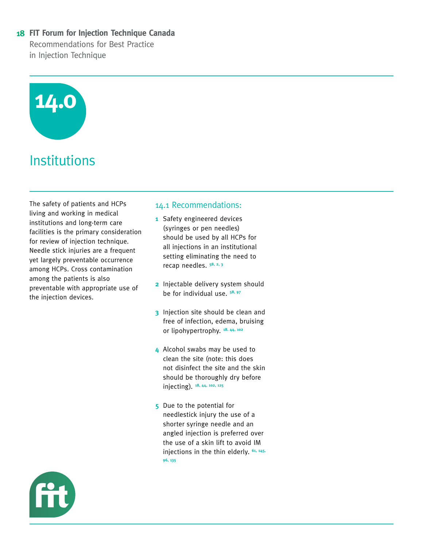

# **Institutions**

The safety of patients and HCPs living and working in medical institutions and long-term care facilities is the primary consideration for review of injection technique. Needle stick injuries are a frequent yet largely preventable occurrence among HCPs. Cross contamination among the patients is also preventable with appropriate use of the injection devices.

#### 14.1 Recommendations:

- **1** Safety engineered devices (syringes or pen needles) should be used by all HCPs for all injections in an institutional setting eliminating the need to recap needles. **58, 2, 3**
- **2** Injectable delivery system should be for individual use. **58, 97**
- **3** Injection site should be clean and free of infection, edema, bruising or lipohypertrophy. **18. 44, 102**
- **4** Alcohol swabs may be used to clean the site (note: this does not disinfect the site and the skin should be thoroughly dry before injecting). **18, 44, 102, 125**
- **5** Due to the potential for needlestick injury the use of a shorter syringe needle and an angled injection is preferred over the use of a skin lift to avoid IM injections in the thin elderly. **61, 145, 96, 135**

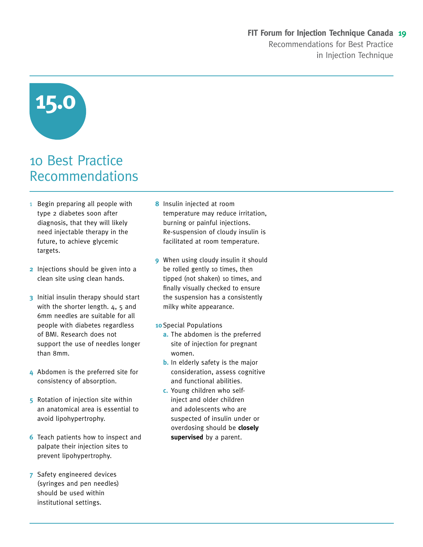# **15.0**

# 10 Best Practice Recommendations

- 1 Begin preparing all people with type 2 diabetes soon after diagnosis, that they will likely need injectable therapy in the future, to achieve glycemic targets.
- **2** Injections should be given into a clean site using clean hands.
- **3** Initial insulin therapy should start with the shorter length.  $4, 5$  and 6mm needles are suitable for all people with diabetes regardless of BMI. Research does not support the use of needles longer than 8mm.
- **4** Abdomen is the preferred site for consistency of absorption.
- **5** Rotation of injection site within an anatomical area is essential to avoid lipohypertrophy.
- **6** Teach patients how to inspect and palpate their injection sites to prevent lipohypertrophy.
- **7** Safety engineered devices (syringes and pen needles) should be used within institutional settings.
- **8** Insulin injected at room temperature may reduce irritation, burning or painful injections. Re-suspension of cloudy insulin is facilitated at room temperature.
- **9** When using cloudy insulin it should be rolled gently 10 times, then tipped (not shaken) 10 times, and finally visually checked to ensure the suspension has a consistently milky white appearance.
- **10** Special Populations
	- **a.** The abdomen is the preferred site of injection for pregnant women.
	- **b.** In elderly safety is the major consideration, assess cognitive and functional abilities.
	- **c.** Young children who selfinject and older children and adolescents who are suspected of insulin under or overdosing should be **closely supervised** by a parent.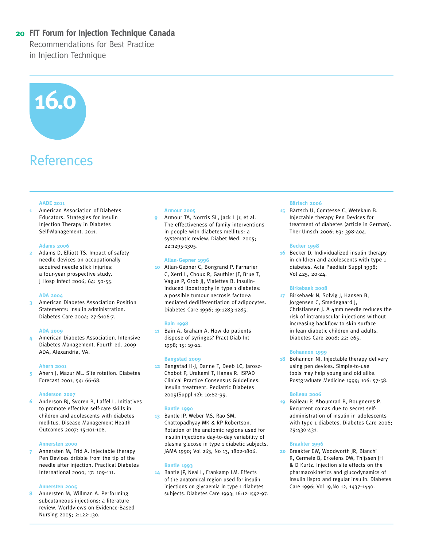#### **20 FIT Forum for Injection Technique Canada**

Recommendations for Best Practice in Injection Technique

# **16.0**

# References

#### **AADE 2011**

**1** American Association of Diabetes Educators. Strategies for Insulin Injection Therapy in Diabetes Self-Management. 2011.

#### **Adams 2006**

**2** Adams D, Elliott TS. Impact of safety needle devices on occupationally acquired needle stick injuries: a four-year prospective study. J Hosp Infect 2006; 64: 50-55.

#### **ADA 2004**

**3** American Diabetes Association Position Statements: Insulin administration. Diabetes Care 2004; 27:S106-7.

#### **ADA 2009**

**4** American Diabetes Association. Intensive Diabetes Management. Fourth ed. 2009 ADA, Alexandria, VA.

#### **Ahern 2001**

**5** Ahern J, Mazur ML. Site rotation. Diabetes Forecast 2001; 54: 66-68.

#### **Anderson 2007**

**6** Anderson BJ, Svoren B, Laffel L. Initiatives to promote effective self-care skills in children and adolescents with diabetes mellitus. Disease Management Health Outcomes 2007; 15:101-108.

#### **Annersten 2000**

**7** Annersten M, Frid A. Injectable therapy Pen Devices dribble from the tip of the needle after injection. Practical Diabetes International 2000; 17: 109-111.

#### **Annersten 2005**

**8** Annersten M, Willman A. Performing subcutaneous injections: a literature review. Worldviews on Evidence-Based Nursing 2005; 2:122-130.

#### **Armour 2005**

**9** Armour TA, Norrris SL, Jack L Jr, et al. The effectiveness of family interventions in people with diabetes mellitus: a systematic review. Diabet Med. 2005; 22:1295-1305.

#### **Atlan-Gepner 1996**

**10** Atlan-Gepner C, Bongrand P, Farnarier C, Xerri L, Choux R, Gauthier JF, Brue T, Vague P, Grob JJ, Vialettes B. Insulininduced lipoatrophy in type 1 diabetes: a possible tumour necrosis factor-a mediated dedifferentiation of adipocytes. Diabetes Care 1996; 19:1283-1285.

#### **Bain 1998**

**11** Bain A, Graham A. How do patients dispose of syringes? Pract Diab Int 1998; 15: 19-21.

#### **Bangstad 2009**

**12** Bangstad H-J, Danne T, Deeb LC, Jarosz-Chobot P, Urakami T, Hanas R. ISPAD Clinical Practice Consensus Guidelines: Insulin treatment. Pediatric Diabetes 2009(Suppl 12); 10:82-99.

#### **Bantle 1990**

**13** Bantle JP, Weber MS, Rao SM, Chattopadhyay MK & RP Robertson. Rotation of the anatomic regions used for insulin injections day-to-day variability of plasma glucose in type 1 diabetic subjects. JAMA 1990; Vol 263, No 13, 1802-1806.

#### **Bantle 1993**

**14** Bantle JP, Neal L, Frankamp LM. Effects of the anatomical region used for insulin injections on glycaemia in type 1 diabetes subjects. Diabetes Care 1993; 16:12:1592-97.

#### **Bärtsch 2006**

**15** Bärtsch U, Comtesse C, Wetekam B. Injectable therapy Pen Devices for treatment of diabetes (article in German). Ther Umsch 2006; 63: 398-404.

#### **Becker 1998**

**16** Becker D. Individualized insulin therapy in children and adolescents with type 1 diabetes. Acta Paediatr Suppl 1998; Vol 425, 20-24.

#### **Birkebaek 2008**

**17** Birkebaek N, Solvig J, Hansen B, Jorgensen C, Smedegaard J, Christiansen J. A 4mm needle reduces the risk of intramuscular injections without increasing backflow to skin surface in lean diabetic children and adults. Diabetes Care 2008; 22: e65.

#### **Bohannon 1999**

**18** Bohannon NJ. Injectable therapy delivery using pen devices. Simple-to-use tools may help young and old alike. Postgraduate Medicine 1999; 106: 57-58.

#### **Boileau 2006**

**19** Boileau P, Aboumrad B, Bougneres P. Recurrent comas due to secret selfadministration of insulin in adolescents with type 1 diabetes. Diabetes Care 2006; 29:430-431.

#### **Braakter 1996**

**20** Braakter EW, Woodworth JR, Bianchi R, Cermele B, Erkelens DW, Thijssen JH & D Kurtz. Injection site effects on the pharmacokinetics and glucodynamics of insulin lispro and regular insulin. Diabetes Care 1996; Vol 19,No 12, 1437-1440.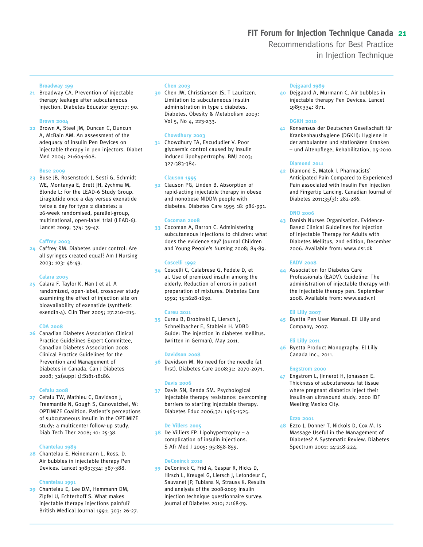#### **Broadway 199**

**21** Broadway CA. Prevention of injectable therapy leakage after subcutaneous injection. Diabetes Educator 1991;17: 90.

#### **Brown 2004**

**22** Brown A, Steel JM, Duncan C, Duncun A, McBain AM. An assessment of the adequacy of insulin Pen Devices on injectable therapy in pen injectors. Diabet Med 2004; 21:604-608.

#### **Buse 2009**

**23** Buse JB, Rosenstock J, Sesti G, Schmidt WE, Montanya E, Brett JH, Zychma M, Blonde L: for the LEAD-6 Study Group. Liraglutide once a day versus exenatide twice a day for type 2 diabetes: a 26-week randomised, parallel-group, multinational, open-label trial (LEAD-6). Lancet 2009; 374: 39-47.

#### **Caffrey 2003**

**24** Caffrey RM. Diabetes under control: Are all syringes created equal? Am J Nursing 2003; 103: 46-49.

#### **Calara 2005**

**25** Calara F, Taylor K, Han J et al. A randomized, open-label, crossover study examining the effect of injection site on bioavailability of exenatide (synthetic exendin-4). Clin Ther 2005; 27:210–215.

#### **CDA 2008**

**26** Canadian Diabetes Association Clinical Practice Guidelines Expert Committee, Canadian Diabetes Association 2008 Clinical Practice Guidelines for the Prevention and Management of Diabetes in Canada. Can J Diabetes 2008; 32(suppl 1):S181-18186.

#### **Cefalu 2008**

**27** Cefalu TW, Mathieu C, Davidson J, Freemantle N, Gough S, Canovatchel, W: OPTIMIZE Coalition. Patient's perceptions of subcutaneous insulin in the OPTIMIZE study: a multicenter follow-up study. Diab Tech Ther 2008; 10: 25-38.

#### **Chantelau 1989**

**28** Chantelau E, Heinemann L, Ross, D. Air bubbles in injectable therapy Pen Devices. Lancet 1989;334: 387-388.

#### **Chantelau 1991**

**29** Chantelau E, Lee DM, Hemmann DM, Zipfel U, Echterhoff S. What makes injectable therapy injections painful? British Medical Journal 1991; 303: 26-27.

#### **Chen 2003**

**30** Chen JW, Christiansen JS, T Lauritzen. Limitation to subcutaneous insulin administration in type 1 diabetes. Diabetes, Obesity & Metabolism 2003: Vol 5, No 4, 223-233.

#### **Chowdhury 2003**

**31** Chowdhury TA, Escududier V. Poor glycaemic control caused by insulin induced lipohypertrophy. BMJ 2003; 327:383-384.

#### **Clauson 1995**

**32** Clauson PG, Linden B. Absorption of rapid-acting injectable therapy in obese and nonobese NIDDM people with diabetes. Diabetes Care 1995 18: 986-991.

#### **Cocoman 2008**

**33** Cocoman A, Barron C. Administering subcutaneous injections to children: what does the evidence say? Journal Children and Young People's Nursing 2008; 84-89.

#### **Coscelli 1992**

**34** Coscelli C, Calabrese G, Fedele D, et al. Use of premixed insulin among the elderly. Reduction of errors in patient preparation of mixtures. Diabetes Care 1992; 15:1628-1630.

#### **Cureu 2011**

**35** Cureu B, Drobinski E, Liersch J, Schnellbacher E, Stablein H. VDBD Guide: The injection in diabetes mellitus. (written in German), May 2011.

#### **Davidson 2008**

**36** Davidson M. No need for the needle (at first). Diabetes Care 2008;31: 2070-2071.

#### **Davis 2006**

**37** Davis SN, Renda SM. Psychological injectable therapy resistance: overcoming barriers to starting injectable therapy. Diabetes Educ 2006;32: 1465-1525.

#### **De Villers 2005**

**38** De Villiers FP. Lipohypertrophy – a complication of insulin injections. S Afr Med J 2005; 95:858-859.

#### **DeConinck 2010**

**39** DeConinck C, Frid A, Gaspar R, Hicks D, Hirsch L, Kreugel G, Liersch J, Letondeur C, Sauvanet JP, Tubiana N, Strauss K. Results and analysis of the 2008-2009 insulin injection technique questionnaire survey. Journal of Diabetes 2010; 2:168-79.

#### **Dejgaard 1989**

**40** Dejgaard A, Murmann C. Air bubbles in injectable therapy Pen Devices. Lancet 1989;334: 871.

#### **DGKH 2010**

**41** Konsensus der Deutschen Gesellschaft für Krankenhaushygiene (DGKH): Hygiene in der ambulanten und stationären Kranken – und Altenpflege, Rehabilitation, 05-2010.

#### **Diamond 2011**

**42** Diamond S, Matok I. Pharmacists` Anticipated Pain Compared to Experienced Pain associated with Insulin Pen Injection and Fingertip Lancing. Canadian Journal of Diabetes 2011;35(3): 282-286.

#### **DNO 2006**

**43** Danish Nurses Organisation. Evidence-Based Clinical Guidelines for Injection of Injectable Therapy for Adults with Diabetes Mellitus, 2nd edition, December 2006. Available from: www.dsr.dk

#### **EADV 2008**

**44** Association for Diabetes Care Professionals (EADV). Guideline: The administration of injectable therapy with the injectable therapy pen. September 2008. Available from: www.eadv.nl

#### **Eli Lilly 2007**

**45** Byetta Pen User Manual. Eli Lilly and Company, 2007.

#### **Eli Lilly 2011**

**46** Byetta Product Monography. El Lilly Canada Inc., 2011.

#### **Engstrom 2000**

**47** Engstrom L, Jinnerot H, Jonasson E. Thickness of subcutaneous fat tissue where pregnant diabetics inject their insulin-an ultrasound study. 2000 IDF Meeting Mexico City.

#### **Ezzo 2001**

**48** Ezzo J, Donner T, Nickols D, Cox M. Is Massage Useful in the Management of Diabetes? A Systematic Review. Diabetes Spectrum 2001; 14:218-224.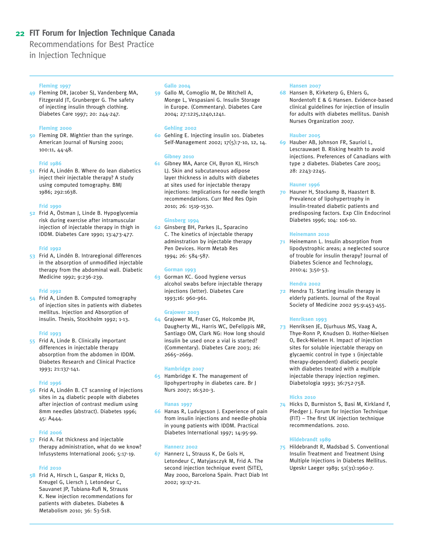#### **22 FIT Forum for Injection Technique Canada**

Recommendations for Best Practice

in Injection Technique

#### **Fleming 1997**

**49** Fleming DR, Jacober SJ, Vandenberg MA, Fitzgerald JT, Grunberger G. The safety of injecting insulin through clothing. Diabetes Care 1997; 20: 244-247.

#### **Fleming 2000**

**50** Fleming DR. Mightier than the syringe. American Journal of Nursing 2000; 100:11, 44-48.

#### **Frid 1986**

**51** Frid A, Lindén B. Where do lean diabetics inject their injectable therapy? A study using computed tomography. BMJ 1986; 292:1638.

#### **Frid 1990**

**52** Frid A, Östman J, Linde B. Hypoglycemia risk during exercise after intramuscular injection of injectable therapy in thigh in IDDM. Diabetes Care 1990; 13:473-477.

#### **Frid 1992**

**53** Frid A, Lindén B. Intraregional differences in the absorption of unmodified injectable therapy from the abdominal wall. Diabetic Medicine 1992; 9:236-239.

#### **Frid 1992**

**54** Frid A, Linden B. Computed tomography of injection sites in patients with diabetes mellitus. Injection and Absorption of insulin. Thesis, Stockholm 1992; 1-13.

#### **Frid 1993**

**55** Frid A, Linde B. Clinically important differences in injectable therapy absorption from the abdomen in IDDM. Diabetes Research and Clinical Practice 1993; 21:137-141.

#### **Frid 1996**

**56** Frid A, Lindén B. CT scanning of injections sites in 24 diabetic people with diabetes after injection of contrast medium using 8mm needles (abstract). Diabetes 1996; 45: A444.

#### **Frid 2006**

**57** Frid A. Fat thickness and injectable therapy administration, what do we know? Infusystems International 2006; 5:17-19.

#### **Frid 2010**

**58** Frid A, Hirsch L, Gaspar R, Hicks D, Kreugel G, Liersch J, Letondeur C, Sauvanet JP, Tubiana-Rufi N, Strauss K. New injection recommendations for patients with diabetes. Diabetes & Metabolism 2010; 36: S3-S18.

#### **Gallo 2004**

**59** Gallo M, Comoglio M, De Mitchell A, Monge L, Vespasiani G. Insulin Storage in Europe. (Commentary). Diabetes Care 2004; 27:1225,1240,1241.

#### **Gehling 2002**

**60** Gehling E. Injecting insulin 101. Diabetes Self-Management 2002; 17(5):7-10, 12, 14.

#### **Gibney 2010**

**61** Gibney MA, Aarce CH, Byron KJ, Hirsch LJ. Skin and subcutaneous adipose layer thickness in adults with diabetes at sites used for injectable therapy injections: Implications for needle length recommendations. Curr Med Res Opin 2010; 26: 1519-1530.

#### **Ginsberg 1994**

**62** Ginsberg BH, Parkes JL, Sparacino C. The kinetics of injectable therapy adminstration by injectable therapy Pen Devices. Horm Metab Res 1994; 26: 584-587.

#### **Gorman 1993**

**63** Gorman KC. Good hygiene versus alcohol swabs before injectable therapy injections (letter). Diabetes Care 1993;16: 960-961.

#### **Grajower 2003**

**64** Grajower M, Fraser CG, Holcombe JH, Daugherty ML, Harris WC, DeFelippis MR, Santiago OM, Clark NG: How long should insulin be used once a vial is started? (Commentary). Diabetes Care 2003; 26: 2665–2669.

#### **Hambridge 2007**

**65** Hambridge K. The management of lipohypertrophy in diabetes care. Br J Nurs 2007; 16:520-3.

#### **Hanas 1997**

**66** Hanas R, Ludvigsson J. Experience of pain from insulin injections and needle-phobia in young patients with IDDM. Practical Diabetes International 1997; 14:95-99.

#### **Hannerz 2002**

**67** Hannerz L, Strauss K, De Gols H, Letondeur C, Matyjasczyk M, Frid A. The second injection technique event (SITE), May 2000, Barcelona Spain. Pract Diab Int 2002; 19:17-21.

#### **Hansen 2007**

**68** Hansen B, Kirketerp G, Ehlers G, Nordentoft E & G Hansen. Evidence-based clinical guidelines for injection of insulin for adults with diabetes mellitus. Danish Nurses Organization 2007.

#### **Hauber 2005**

**69** Hauber AB, Johnson FR, Sauriol L, Lescrauwaet B. Risking health to avoid injections. Preferences of Canadians with type 2 diabetes. Diabetes Care 2005; 28: 2243-2245.

#### **Hauner 1996**

**70** Hauner H, Stockamp B, Haastert B. Prevalence of lipohypertrophy in insulin-treated diabetic patients and predisposing factors. Exp Clin Endocrinol Diabetes 1996; 104: 106-10.

#### **Heinemann 2010**

**71** Heinemann L. Insulin absorption from lipodystrophic areas; a neglected source of trouble for insulin therapy? Journal of Diabetes Science and Technology, 2010:4; 3;50-53.

#### **Hendra 2002**

**72** Hendra TJ. Starting insulin therapy in elderly patients. Journal of the Royal Society of Medicine 2002 95:9:453-455.

#### **Henriksen 1993**

**73** Henriksen JE, Djurhuus MS, Vaag A, Thye-Ronn P, Knudsen D. Hother-Nielsen O, Beck-Nielsen H. Impact of injection sites for soluble injectable therapy on glycaemic control in type 1 (injectable therapy-dependent) diabetic people with diabetes treated with a multiple injectable therapy injection regimen. Diabetologia 1993; 36:752-758.

#### **Hicks 2010**

**74** Hicks D, Burmiston S, Basi M, Kirkland F, Pledger J. Forum for Injection Technique (FIT) – The first UK injection technique recommendations. 2010.

#### **Hildebrandt 1989**

**75** Hildebrandt R, Madsbad S. Conventional Insulin Treatment and Treatment Using Multiple Injections in Diabetes Mellitus. Ugeskr Laeger 1989; 51(31):1960-7.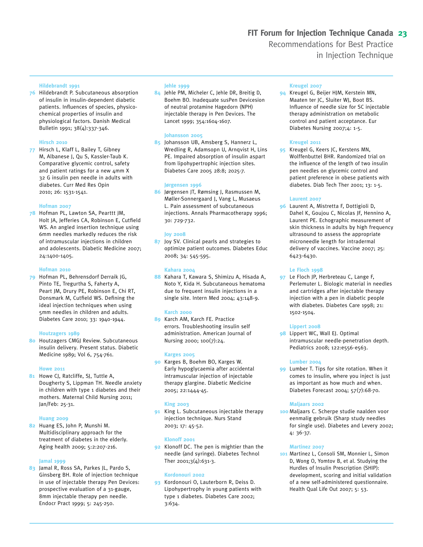#### **Hildebrandt 1991**

**76** Hildebrandt P. Subcutaneous absorption of insulin in insulin-dependent diabetic patients. Influences of species, physicochemical properties of insulin and physiological factors. Danish Medical Bulletin 1991; 38(4):337-346.

#### **Hirsch 2010**

**77** Hirsch L, Klaff L, Bailey T, Gibney M, Albanese J, Qu S, Kassler-Taub K. Comparative glycemic control, safety and patient ratings for a new 4mm X 32 G insulin pen needle in adults with diabetes. Curr Med Res Opin 2010; 26: 1531-1541.

#### **Hofman 2007**

**78** Hofman PL, Lawton SA, Pearttt JM, Holt JA, Jefferies CA, Robinson E, Cutfield WS. An angled insertion technique using 6mm needles markedly reduces the risk of intramuscular injections in children and adolescents. Diabetic Medicine 2007; 24:1400-1405.

#### **Hofman 2010**

**79** Hofman PL, Behrensdorf Derraik JG, Pinto TE, Tregurtha S, Faherty A, Peart JM, Drury PE, Robinson E, Chi RT, Donsmark M, Cutfield WS. Defining the ideal injection techniques when using 5mm needles in children and adults. Diabetes Care 2010; 33: 1940-1944.

#### **Houtzagers 1989**

**80** Houtzagers CMGJ Review. Subcutaneous insulin delivery. Present status. Diabetic Medicine 1989; Vol 6, 754-761.

#### **Howe 2011**

**81** Howe CJ, Ratcliffe, SJ, Tuttle A, Dougherty S, Lippman TH. Needle anxiety in children with type 1 diabetes and their mothers. Maternal Child Nursing 2011; Jan/Feb: 25-31.

#### **Huang 2009**

**82** Huang ES, John P, Munshi M. Multidisciplinary approach for the treatment of diabetes in the elderly. Aging health 2009; 5:2:207-216.

#### **Jamal 1999**

**83** Jamal R, Ross SA, Parkes JL, Pardo S, Ginsberg BH. Role of injection technique in use of injectable therapy Pen Devices: prospective evaluation of a 31-gauge, 8mm injectable therapy pen needle. Endocr Pract 1999; 5: 245-250.

#### **Jehle 1999**

**84** Jehle PM, Micheler C, Jehle DR, Breitig D, Boehm BO. Inadequate susPen Devicesion of neutral protamine Hagedorn (NPH) injectable therapy in Pen Devices. The Lancet 1999; 354:1604-1607.

#### **Johansson 2005**

**85** Johansson UB, Amsberg S, Hannerz L, Wredling R, Adamsopn U, Arnqvist H, Lins PE. Impaired absorption of insulin aspart from lipohypertrophic injection sites. Diabetes Care 2005 28:8; 2025-7.

#### **Jørgensen 1996**

**86** Jørgensen JT, Rømsing J, Rasmussen M, Møller-Sonnergaard J, Vang L, Musaeus L. Pain assessment of subcutaneous injections. Annals Pharmacotherapy 1996; 30: 729-732.

#### **Joy 2008**

**87** Joy SV. Clinical pearls and strategies to optimize patient outcomes. Diabetes Educ 2008; 34: 545-595.

#### **Kahara 2004**

**88** Kahara T, Kawara S, Shimizu A, Hisada A, Noto Y, Kida H. Subcutaneous hematoma due to frequent insulin injections in a single site. Intern Med 2004; 43:148-9.

#### **Karch 2000**

**89** Karch AM, Karch FE. Practice errors. Troubleshooting insulin self administration. American Journal of Nursing 2000; 100(7):24.

#### **Karges 2005**

**90** Karges B, Boehm BO, Karges W. Early hypoglycaemia after accidental intramuscular injection of injectable therapy glargine. Diabetic Medicine 2005; 22:1444-45.

#### **King 2003**

**91** King L. Subcutaneous injectable therapy injection technique. Nurs Stand 2003; 17: 45-52.

#### **Klonoff 2001**

**92** Klonoff DC. The pen is mightier than the needle (and syringe). Diabetes Technol Ther 2001;3(4):631-3.

#### **Kordonouri 2002**

**93** Kordonouri O, Lauterborn R, Deiss D. Lipohypertrophy in young patients with type 1 diabetes. Diabetes Care 2002; 3:634.

#### **Kreugel 2007**

**94** Kreugel G, Beijer HJM, Kerstein MN, Maaten ter JC, Sluiter WJ, Boot BS. Influence of needle size for SC injectable therapy administration on metabolic control and patient acceptance. Eur Diabetes Nursing 2007;4: 1-5.

#### **Kreugel 2011**

**95** Kreugel G, Keers JC, Kerstens MN, Wolffenbuttel BHR. Randomized trial on the influence of the length of two insulin pen needles on glycemic control and patient preference in obese patients with diabetes. Diab Tech Ther 2001; 13: 1-5.

#### **Laurent 2007**

**96** Laurent A, Mistretta F, Dottigioli D, Dahel K, Goujou C, Nicolas JF, Hennino A, Laurent PE. Echographic measurement of skin thickness in adults by high frequency ultrasound to assess the appropriate microneedle length for intradermal delivery of vaccines. Vaccine 2007; 25: 6423-6430.

#### **Le Floch 1998**

**97** Le Floch JP, Herbreteau C, Lange F, Perlemuter L. Biologic material in needles and cartridges after injectable therapy injection with a pen in diabetic people with diabetes. Diabetes Care 1998; 21: 1502-1504.

#### **Lippert 2008**

**98** Lippert WC, Wall EJ. Optimal intramuscular needle-penetration depth. Pediatrics 2008; 122:e556-e563.

#### **Lumber 2004**

**99** Lumber T. Tips for site rotation. When it comes to insulin, where you inject is just as important as how much and when. Diabetes Forecast 2004; 57(7):68-70.

#### **Maljaars 2002**

**100** Maljaars C. Scherpe studie naalden voor eenmalig gebruik (Sharp study needles for single use). Diabetes and Levery 2002; 4: 36-37.

#### **Martinez 2007**

**101** Martinez L, Consoli SM, Monnier L, Simon D, Wong O, Yomtov B, et al. Studying the Hurdles of Insulin Prescription (SHIP): development, scoring and initial validation of a new self-administered questionnaire. Health Qual Life Out 2007; 5: 53.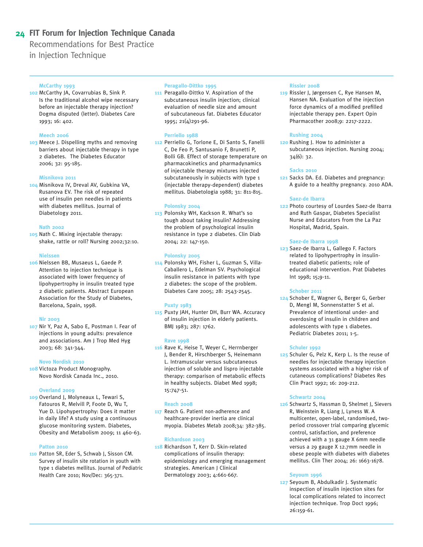#### **24 FIT Forum for Injection Technique Canada**

Recommendations for Best Practice

in Injection Technique

#### **McCarthy 1993**

**102** McCarthy JA, Covarrubias B, Sink P. Is the traditional alcohol wipe necessary before an injectable therapy injection? Dogma disputed (letter). Diabetes Care 1993; 16: 402.

#### **Meech 2006**

**103** Meece J. Dispelling myths and removing barriers about injectable therapy in type 2 diabetes. The Diabetes Educator 2006; 32: 95-185.

#### **Misnikova 2011**

**104** Misnikova IV, Dreval AV, Gubkina VA, Rusanova EV. The risk of repeated use of insulin pen needles in patients with diabetes mellitus. Journal of Diabetology 2011.

#### **Nath 2002**

**105** Nath C. Mixing injectable therapy: shake, rattle or roll? Nursing 2002;32:10.

#### **Nielssen**

**106** Nielssen BB, Musaeus L, Gaede P. Attention to injection technique is associated with lower frequency of lipohypertrophy in insulin treated type 2 diabetic patients. Abstract European Association for the Study of Diabetes, Barcelona, Spain, 1998.

#### **Nir 2003**

**107** Nir Y, Paz A, Sabo E, Postman I. Fear of injections in young adults: prevalence and associations. Am J Trop Med Hyg 2003; 68: 341-344.

#### **Novo Nordisk 2010**

**108** Victoza Product Monography. Novo Nordisk Canada Inc., 2010.

#### **Overland 2009**

**109** Overland J, Molyneaux L, Tewari S, Fatouros R, Melvill P, Foote D, Wu T, Yue D. Lipohypertrophy: Does it matter in daily life? A study using a continuous glucose monitoring system. Diabetes, Obesity and Metabolism 2009; 11 460-63.

#### **Patton 2010**

**110** Patton SR, Eder S, Schwab J, Sisson CM. Survey of insulin site rotation in youth with type 1 diabetes mellitus. Journal of Pediatric Health Care 2010; Nov/Dec: 365-371.

#### **Peragallo-Dittko 1995**

**111** Peragallo-Dittko V. Aspiration of the subcutaneous insulin injection; clinical evaluation of needle size and amount of subcutaneous fat. Diabetes Educator 1995; 21(4)291-96.

#### **Perriello 1988**

**112** Perriello G, Torlone E, Di Santo S, Fanelli C, De Feo P, Santusanio F, Brunetti P, Bolli GB. Effect of storage temperature on pharmacokinetics and pharmadynamics of injectable therapy mixtures injected subcutaneously in subjects with type 1 (injectable therapy-dependent) diabetes mellitus. Diabetologia 1988; 31: 811-815.

#### **Polonsky 2004**

**113** Polonsky WH, Kackson R. What's so tough about taking insulin? Addressing the problem of psychological insulin resistance in type 2 diabetes. Clin Diab 2004; 22: 147-150.

#### **Polonsky 2005**

**114** Polonsky WH, Fisher L, Guzman S, Villa-Caballero L, Edelman SV. Psychological insulin resistance in patients with type 2 diabetes: the scope of the problem. Diabetes Care 2005; 28: 2543-2545.

#### **Puxty 1983**

**115** Puxty JAH, Hunter DH, Burr WA. Accuracy of insulin injection in elderly patients. BMJ 1983; 287: 1762.

#### **Rave 1998**

**116** Rave K, Heise T, Weyer C, Herrnberger J, Bender R, Hirschberger S, Heinemann L. Intramuscular versus subcutaneous injection of soluble and lispro injectable therapy: comparison of metabolic effects in healthy subjects. Diabet Med 1998; 15:747-51.

#### **Reach 2008**

**117** Reach G. Patient non-adherence and healthcare-provider inertia are clinical myopia. Diabetes Metab 2008;34: 382-385.

#### **Richardson 2003**

**118** Richardson T, Kerr D. Skin-related complications of insulin therapy: epidemiology and emerging management strategies. American J Clinical Dermatology 2003; 4:661-667.

#### **Rissler 2008**

**119** Rissler J, Jørgensen C, Rye Hansen M, Hansen NA. Evaluation of the injection force dynamics of a modified prefilled injectable therapy pen. Expert Opin Pharmacother 2008;9: 2217-2222.

#### **Rushing 2004**

**120** Rushing J. How to administer a subcutaneous injection. Nursing 2004; 34(6): 32.

#### **Sacks 2010**

**121** Sacks DA. Ed. Diabetes and pregnancy: A guide to a healthy pregnancy. 2010 ADA.

#### **Saez-de Ibarra**

**122** Photo courtesy of Lourdes Saez-de Ibarra and Ruth Gaspar, Diabetes Specialist Nurse and Educators from the La Paz Hospital, Madrid, Spain.

#### **Saez-de Ibarra 1998**

**123** Saez-de Ibarra L, Gallego F. Factors related to lipohypertrophy in insulintreated diabetic patients; role of educational intervention. Prat Diabetes Int 1998; 15;9-11.

#### **Schober 2011**

**124** Schober E, Wagner G, Berger G, Gerber D, Mengl M, Sonnenstatter S et al. Prevalence of intentional under- and overdosing of insulin in children and adolescents with type 1 diabetes. Pediatric Diabetes 2011; 1-5.

#### **Schuler 1992**

**125** Schuler G, Pelz K, Kerp L. Is the reuse of needles for injectable therapy injection systems associated with a higher risk of cutaneous complications? Diabetes Res Clin Pract 1992; 16: 209-212.

#### **Schwartz 2004**

**126** Schwartz S, Hassman D, Shelmet J, Sievers R, Weinstein R, Liang J, Lyness W. A multicenter, open-label, randomised, twoperiod crossover trial comparing glycemic control, satisfaction, and preference achieved with a 31 gauge X 6mm needle versus a 29 gauge X 12.7mm needle in obese people with diabetes with diabetes mellitus. Clin Ther 2004; 26: 1663-1678.

#### **Seyoum 1996**

**127** Seyoum B, Abdulkadir J. Systematic inspection of insulin injection sites for local complications related to incorrect injection technique. Trop Doct 1996; 26:159-61.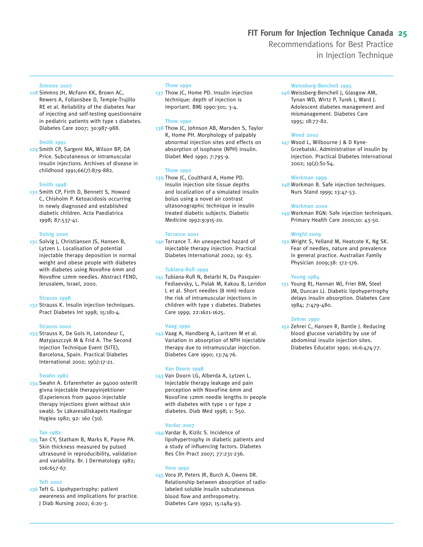#### **Simmns 2007**

**128** Simmns JH, McFann KK, Brown AC, Rewers A, Follansbee D, Temple-Trujillo RE et al. Reliability of the diabetes fear of injecting and self-testing questionnaire in pediatric patients with type 1 diabetes. Diabetes Care 2007; 30:987-988.

#### **Smith 1991**

**129** Smith CP, Sargent MA, Wilson BP, DA Price. Subcutaneous or intramuscular insulin injections. Archives of disease in childhood 1991;66(7):879-882.

#### **Smith 1998**

**130** Smith CP, Firth D, Bennett S, Howard C, Chisholm P. Ketoacidosis occurring in newly diagnosed and established diabetic children. Acta Paediatrica 1998; 87:537-41.

#### **Solvig 2000**

**131** Solvig J, Christiansen JS, Hansen B, Lytzen L. Localisation of potential injectable therapy deposition in normal weight and obese people with diabetes with diabetes using Novofine 6mm and Novofine 12mm needles. Abstract FEND, Jerusalem, Israel, 2000.

#### **Strauss 1998**

**132** Strauss K. Insulin injection techniques. Pract Diabetes Int 1998; 15:181-4.

#### **Strauss 2002**

**133** Strauss K, De Gols H, Letondeur C, Matyjaszczyk M & Frid A. The Second Injection Technique Event (SITE), Barcelona, Spain. Practical Diabetes International 2002; 19(1):17-21.

#### **Swahn 1982**

**134** Swahn A. Erfarenheter av 94000 osterilt givna injectable therapyinjektioner (Experiences from 94000 injectable therapy injections given without skin swab). Sv Läkaresällskapets Hadingar Hygiea 1982; 92: 160 (30).

#### **Tan 1982**

**135** Tan CY, Statham B, Marks R, Payne PA. Skin thickness measured by pulsed ultrasound in reproducibility, validation and variability. Br. J Dermatology 1982; 106:657-67.

#### **Teft 2002**

**136** Teft G. Lipohypertrophy: patient awareness and implications for practice. J Diab Nursing 2002; 6:20-3.

#### **Thow 1990**

**137** Thow JC, Home PD. Insulin injection technique: depth of injection is important. BMJ 1990:301; 3-4.

#### **Thow 1990**

**138** Thow JC, Johnson AB, Marsden S, Taylor R, Home PH. Morphology of palpably abnormal injection sites and effects on absorption of isophane (NPH) insulin. Diabet Med 1990; 7:795-9.

#### **Thow 1992**

**139** Thow JC, Coulthard A, Home PD. Insulin injection site tissue depths and localization of a simulated insulin bolus using a novel air contrast ultasonographic technique in insulin treated diabetic subjects. Diabetic Medicine 1992:9:915-20.

#### **Torrance 2001**

**140** Torrance T. An unexpected hazard of injectable therapy injection. Practical Diabetes International 2002; 19: 63.

#### **Tubiana-Rufi 1999**

**141** Tubiana-Rufi N, Belarbi N, Du Pasquier-Fediaevsky, L, Polak M, Kakou B, Leridon L et al. Short needles (8 mm) reduce the risk of intramuscular injections in children with type 1 diabetes. Diabetes Care 1999; 22:1621-1625.

#### **Vaag 1990**

**142** Vaag A, Handberg A, Laritzen M et al. Variation in absorption of NPH injectable therapy due to intramuscular injection. Diabetes Care 1990; 13:74-76.

#### **Van Doorn 1998**

**143** Van Doorn LG, Alberda A, Lytzen L. Injectable therapy leakage and pain perception with NovoFine 6mm and NovoFine 12mm needle lengths in people with diabetes with type 1 or type 2 diabetes. Diab Med 1998; 1: S50.

#### **Vardar 2007**

**144** Vardar B, Kizilc S. Incidence of lipohypertrophy in diabetic patients and a study of influencing factors. Diabetes Res Clin Pract 2007; 77:231-236.

#### **Vora 1992**

**145** Vora JP, Peters JR, Burch A, Owens DR. Relationship between absorption of radiolabeled soluble insulin subcutaneous blood flow and anthropometry. Diabetes Care 1992; 15:1484-93.

#### **Weissberg-Benchell 1995**

**146** Weissberg-Benchell J, Glasgow AM, Tynan WD, Wirtz P, Turek J, Ward J. Adolescent diabetes management and mismanagement. Diabetes Care 1995; 18:77-82.

#### **Wood 2002**

**147** Wood L, Wilbourne J & D Kyne-Grzebalski. Administration of insulin by injection. Practical Diabetes International 2002; 19(2):S1-S4.

#### **Workman 1999**

**148** Workman B. Safe injection techniques. Nurs Stand 1999; 13:47-53.

#### **Workman 2000**

**149** Workman RGN: Safe injection techniques. Primary Health Care 2000;10: 43-50.

#### **Wright 2009**

**150** Wright S, Yelland M, Heatcote K, Ng SK. Fear of needles, nature and prevalence in general practice. Australian Family Physician 2009;38: 172-176.

#### **Young 1984**

**151** Young RJ, Hannan WJ, Frier BM, Steel JM, Duncan LJ. Diabetic lipohypertrophy delays insulin absorption. Diabetes Care 1984; 7:479-480.

#### **Zehrer 1990**

**152** Zehrer C, Hansen R, Bantle J. Reducing blood glucose variability by use of abdominal insulin injection sites. Diabetes Educator 1990; 16:6:474-77.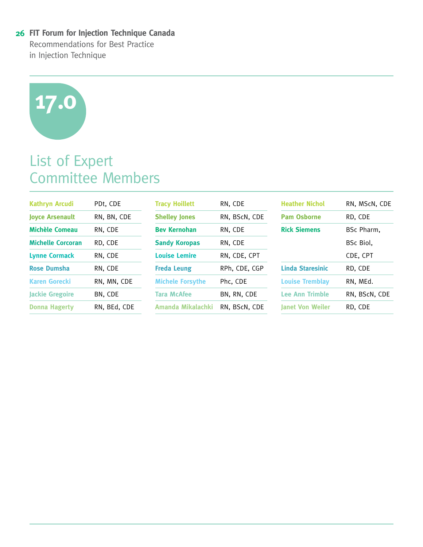# **17.0**

# List of Expert Committee Members

| <b>Kathryn Arcudi</b>    | PDt, CDE     | <b>Tracy Hoillett</b>   | RN, CDE       | <b>Heather Nichol</b>   | RN, MScN, CDE |
|--------------------------|--------------|-------------------------|---------------|-------------------------|---------------|
| <b>Joyce Arsenault</b>   | RN, BN, CDE  | <b>Shelley Jones</b>    | RN, BScN, CDE | <b>Pam Osborne</b>      | RD. CDE       |
| <b>Michèle Comeau</b>    | RN, CDE      | <b>Bev Kernohan</b>     | RN, CDE       | <b>Rick Siemens</b>     | BSc Pharm,    |
| <b>Michelle Corcoran</b> | RD, CDE      | <b>Sandy Koropas</b>    | RN, CDE       |                         | BSc Biol,     |
| <b>Lynne Cormack</b>     | RN, CDE      | <b>Louise Lemire</b>    | RN, CDE, CPT  |                         | CDE, CPT      |
| <b>Rose Dumsha</b>       | RN. CDE      | <b>Freda Leung</b>      | RPh. CDE. CGP | <b>Linda Staresinic</b> | RD. CDE       |
| <b>Karen Gorecki</b>     | RN, MN, CDE  | <b>Michele Forsythe</b> | Phc. CDE      | <b>Louise Tremblay</b>  | RN. MEd.      |
| <b>Jackie Gregoire</b>   | BN, CDE      | <b>Tara McAfee</b>      | BN, RN, CDE   | <b>Lee Ann Trimble</b>  | RN, BScN, CDE |
| <b>Donna Hagerty</b>     | RN, BEd, CDE | Amanda Mikalachki       | RN, BScN, CDE | <b>Janet Von Weiler</b> | RD, CDE       |